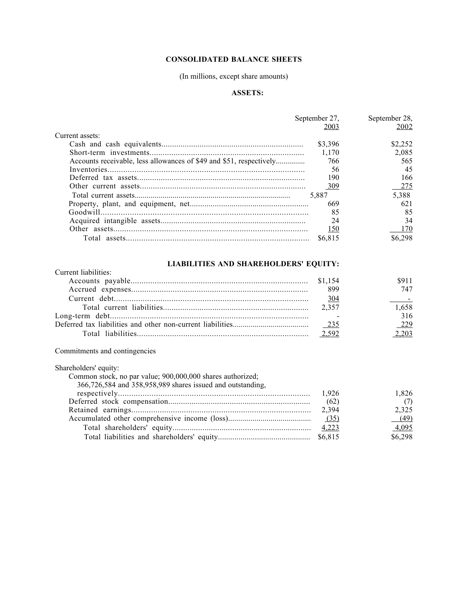## CONSOLIDATED BALANCE SHEETS

## (In millions, except share amounts)

## ASSETS:

| September 27.                                                       |         | September 28. |  |
|---------------------------------------------------------------------|---------|---------------|--|
|                                                                     | 2003    | 2002          |  |
| Current assets:                                                     |         |               |  |
|                                                                     | \$3,396 | \$2,252       |  |
|                                                                     | 1.170   | 2,085         |  |
| Accounts receivable, less allowances of \$49 and \$51, respectively | 766     | 565           |  |
|                                                                     | 56      | 45            |  |
|                                                                     | 190     | 166           |  |
|                                                                     | 309     | -275          |  |
|                                                                     | 5.887   | 5.388         |  |
|                                                                     | 669     | 621           |  |
|                                                                     | 85      | 85            |  |
|                                                                     | 24      | 34            |  |
|                                                                     | 150     | 170           |  |
|                                                                     | \$6.815 | \$6.298       |  |

# LIABILITIES AND SHAREHOLDERS' EQUITY:

| Current liabilities |     |       |
|---------------------|-----|-------|
|                     |     | 591 1 |
|                     | 899 | 747   |
|                     | 304 |       |
|                     |     | 1.658 |
|                     |     | 316   |
|                     |     | 229   |
|                     |     | 203   |

# Commitments and contingencies

| Shareholders' equity:                                      |      |         |
|------------------------------------------------------------|------|---------|
| Common stock, no par value; 900,000,000 shares authorized; |      |         |
| 366,726,584 and 358,958,989 shares issued and outstanding, |      |         |
|                                                            |      | 1.826   |
|                                                            | (62) | (7)     |
|                                                            |      | 2.325   |
|                                                            |      | (49)    |
|                                                            |      | 4.095   |
|                                                            |      | \$6,298 |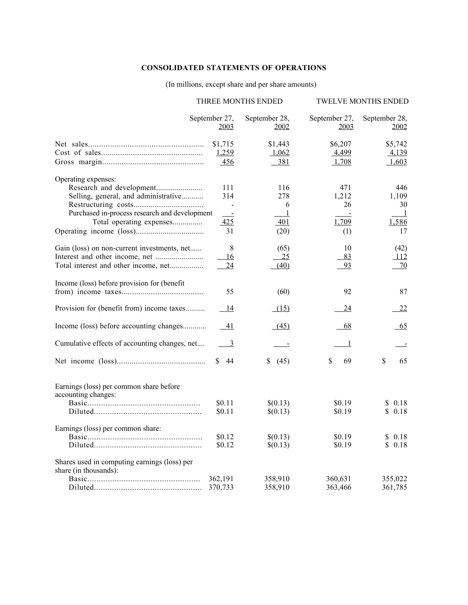## CONSOLIDATED STATEMENTS OF OPERATIONS

## (In millions, except share and per share amounts)

|                                                                                                                                                                                   | THREE MONTHS ENDED                   |                                    | TWELVE MONTHS ENDED                                 |
|-----------------------------------------------------------------------------------------------------------------------------------------------------------------------------------|--------------------------------------|------------------------------------|-----------------------------------------------------|
| September 27,<br>2003                                                                                                                                                             | September 28,<br><u>2002</u>         | September 27,<br>2003              | September 28,<br>2002                               |
| \$1,715<br>1,259<br>456                                                                                                                                                           | \$1,443<br>1,062<br>381              | \$6,207<br>4,499<br>1,708          | \$5,742<br>4,139<br>1,603                           |
| Operating expenses:<br>111<br>Selling, general, and administrative<br>314<br>Purchased in-process research and development<br>$\sim$ $-$<br>Total operating expenses<br>425<br>31 | 116<br>278<br>6<br>-1<br>401<br>(20) | 471<br>1,212<br>26<br>1,709<br>(1) | 446<br>1,109<br>30<br>$\overline{1}$<br>1,586<br>17 |
| 8<br>Gain (loss) on non-current investments, net<br>16<br>Total interest and other income, net<br>24                                                                              | (65)<br>25<br>(40)                   | 10<br>83<br>93                     | (42)<br>112<br>70                                   |
| Income (loss) before provision for (benefit<br>55                                                                                                                                 | (60)                                 | 92                                 | 87                                                  |
| Provision for (benefit from) income taxes<br>14                                                                                                                                   | (15)                                 | 24                                 | 22                                                  |
| Income (loss) before accounting changes<br>- 41                                                                                                                                   | (45)                                 | 68                                 | 65                                                  |
| Cumulative effects of accounting changes, net<br>$\overline{\phantom{a}}$                                                                                                         | $\sim$ $-$                           | -1                                 |                                                     |
| \$44                                                                                                                                                                              | \$<br>(45)                           | \$<br>69                           | \$<br>65                                            |
| Earnings (loss) per common share before<br>accounting changes:<br>\$0.11<br>\$0.11                                                                                                | \$(0.13)<br>\$(0.13)                 | \$0.19<br>\$0.19                   | \$0.18<br>\$0.18                                    |
| Earnings (loss) per common share:<br>\$0.12<br>\$0.12                                                                                                                             | \$(0.13)<br>\$(0.13)                 | \$0.19<br>\$0.19                   | \$0.18<br>\$0.18                                    |
| Shares used in computing earnings (loss) per<br>share (in thousands):<br>362,191<br>370,733                                                                                       | 358,910<br>358,910                   | 360,631<br>363,466                 | 355,022<br>361,785                                  |